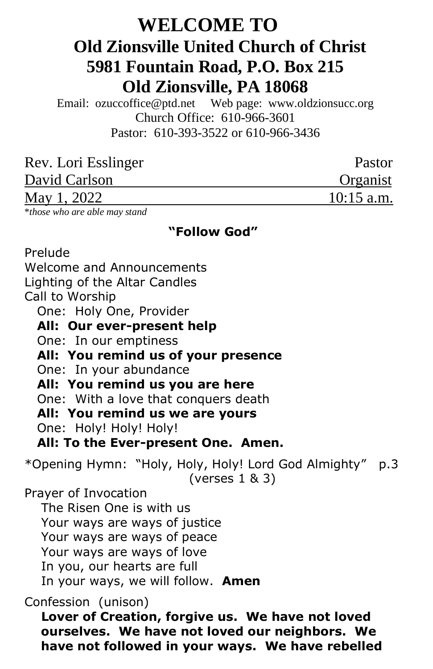# **WELCOME TO Old Zionsville United Church of Christ 5981 Fountain Road, P.O. Box 215 Old Zionsville, PA 18068**

Email: [ozuccoffice@ptd.net](mailto:ozuccoffice@ptd.net) Web page: [www.ol](http://www.uccwebsites.net/oldzionsvilleuccpa.html)dzionsucc.org Church Office: 610-966-3601 Pastor: 610-393-3522 or 610-966-3436

| Pastor       |
|--------------|
| Organist     |
| $10:15$ a.m. |
|              |

\**those who are able may stand*

### **"Follow God"**

Prelude Welcome and Announcements Lighting of the Altar Candles Call to Worship One: Holy One, Provider  **All: Our ever-present help** One: In our emptiness  **All: You remind us of your presence** One: In your abundance  **All: You remind us you are here** One: With a love that conquers death  **All: You remind us we are yours** One: Holy! Holy! Holy!  **All: To the Ever-present One. Amen.** \*Opening Hymn: "Holy, Holy, Holy! Lord God Almighty" p.3 (verses 1 & 3) Prayer of Invocation The Risen One is with us Your ways are ways of justice Your ways are ways of peace Your ways are ways of love In you, our hearts are full In your ways, we will follow. **Amen** Confession (unison)  **Lover of Creation, forgive us. We have not loved ourselves. We have not loved our neighbors. We have not followed in your ways. We have rebelled**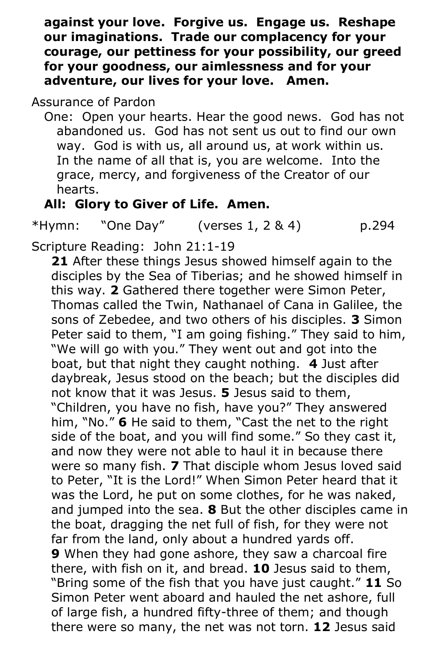**against your love. Forgive us. Engage us. Reshape our imaginations. Trade our complacency for your courage, our pettiness for your possibility, our greed for your goodness, our aimlessness and for your adventure, our lives for your love. Amen.**

# Assurance of Pardon

 One: Open your hearts. Hear the good news. God has not abandoned us. God has not sent us out to find our own way. God is with us, all around us, at work within us. In the name of all that is, you are welcome. Into the grace, mercy, and forgiveness of the Creator of our hearts.

# **All: Glory to Giver of Life. Amen.**

 $*Hymn:$  "One Day" (verses 1, 2 & 4) p.294

Scripture Reading: John 21:1-19

**21** After these things Jesus showed himself again to the disciples by the Sea of Tiberias; and he showed himself in this way. **2** Gathered there together were Simon Peter, Thomas called the Twin, Nathanael of Cana in Galilee, the sons of Zebedee, and two others of his disciples. **3** Simon Peter said to them, "I am going fishing." They said to him, "We will go with you." They went out and got into the boat, but that night they caught nothing. **4** Just after daybreak, Jesus stood on the beach; but the disciples did not know that it was Jesus. **5** Jesus said to them, "Children, you have no fish, have you?" They answered him, "No." **6** He said to them, "Cast the net to the right side of the boat, and you will find some." So they cast it, and now they were not able to haul it in because there were so many fish. **7** That disciple whom Jesus loved said to Peter, "It is the Lord!" When Simon Peter heard that it was the Lord, he put on some clothes, for he was naked, and jumped into the sea. **8** But the other disciples came in the boat, dragging the net full of fish, for they were not far from the land, only about a hundred yards off. **9** When they had gone ashore, they saw a charcoal fire there, with fish on it, and bread. **10** Jesus said to them, "Bring some of the fish that you have just caught." **11** So Simon Peter went aboard and hauled the net ashore, full of large fish, a hundred fifty-three of them; and though there were so many, the net was not torn. **12** Jesus said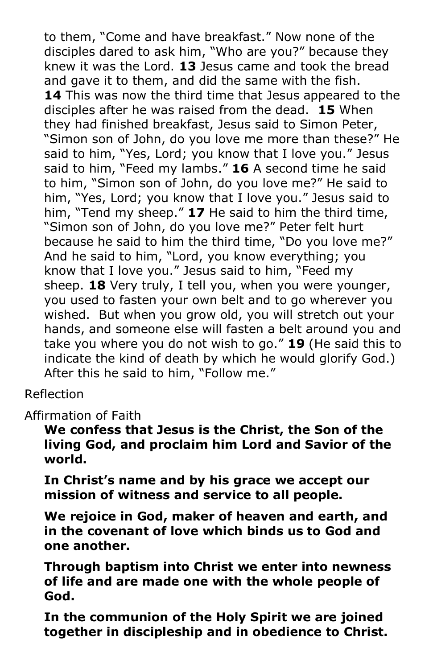to them, "Come and have breakfast." Now none of the disciples dared to ask him, "Who are you?" because they knew it was the Lord. **13** Jesus came and took the bread and gave it to them, and did the same with the fish. **14** This was now the third time that Jesus appeared to the disciples after he was raised from the dead. **15** When they had finished breakfast, Jesus said to Simon Peter, "Simon son of John, do you love me more than these?" He said to him, "Yes, Lord; you know that I love you." Jesus said to him, "Feed my lambs." **16** A second time he said to him, "Simon son of John, do you love me?" He said to him, "Yes, Lord; you know that I love you." Jesus said to him, "Tend my sheep." **17** He said to him the third time, "Simon son of John, do you love me?" Peter felt hurt because he said to him the third time, "Do you love me?" And he said to him, "Lord, you know everything; you know that I love you." Jesus said to him, "Feed my sheep. **18** Very truly, I tell you, when you were younger, you used to fasten your own belt and to go wherever you wished. But when you grow old, you will stretch out your hands, and someone else will fasten a belt around you and take you where you do not wish to go." **19** (He said this to indicate the kind of death by which he would glorify God.) After this he said to him, "Follow me."

Reflection

Affirmation of Faith

**We confess that Jesus is the Christ, the Son of the living God, and proclaim him Lord and Savior of the world.** 

**In Christ's name and by his grace we accept our mission of witness and service to all people.**

**We rejoice in God, maker of heaven and earth, and in the covenant of love which binds us to God and one another.**

**Through baptism into Christ we enter into newness of life and are made one with the whole people of God.**

**In the communion of the Holy Spirit we are joined together in discipleship and in obedience to Christ.**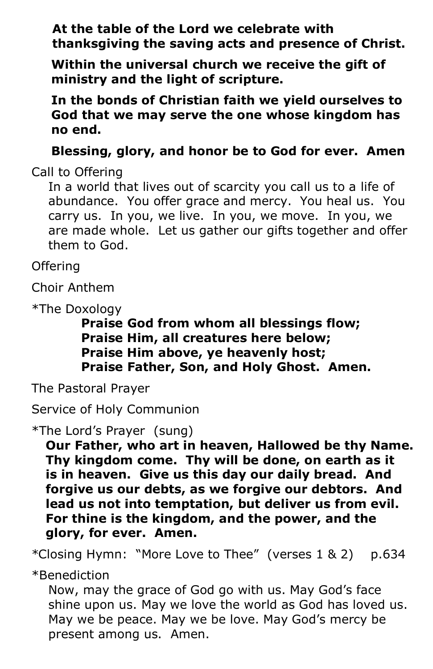**At the table of the Lord we celebrate with thanksgiving the saving acts and presence of Christ.**

**Within the universal church we receive the gift of ministry and the light of scripture.**

**In the bonds of Christian faith we yield ourselves to God that we may serve the one whose kingdom has no end.**

**Blessing, glory, and honor be to God for ever. Amen**

Call to Offering

 In a world that lives out of scarcity you call us to a life of abundance. You offer grace and mercy. You heal us. You carry us. In you, we live. In you, we move. In you, we are made whole. Let us gather our gifts together and offer them to God.

**Offering** 

Choir Anthem

\*The Doxology

 **Praise God from whom all blessings flow; Praise Him, all creatures here below; Praise Him above, ye heavenly host; Praise Father, Son, and Holy Ghost. Amen.**

The Pastoral Prayer

Service of Holy Communion

\*The Lord's Prayer (sung)

**Our Father, who art in heaven, Hallowed be thy Name. Thy kingdom come. Thy will be done, on earth as it is in heaven. Give us this day our daily bread. And forgive us our debts, as we forgive our debtors. And lead us not into temptation, but deliver us from evil. For thine is the kingdom, and the power, and the glory, for ever. Amen.**

*\**Closing Hymn: "More Love to Thee" (verses 1 & 2) p.634

\*Benediction

 Now, may the grace of God go with us. May God's face shine upon us. May we love the world as God has loved us. May we be peace. May we be love. May God's mercy be present among us. Amen.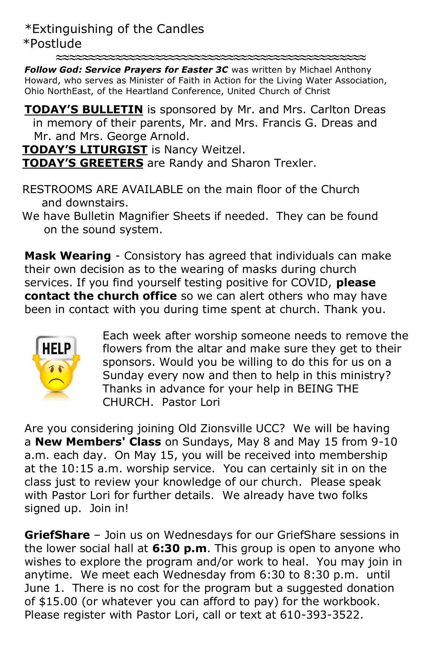\*Extinguishing of the Candles \*Postlude

**≈≈≈≈≈≈≈≈≈≈≈≈≈≈≈≈≈≈≈≈≈≈≈≈≈≈≈≈≈≈≈≈≈≈≈≈≈≈≈≈≈≈≈≈≈≈≈**

*Follow God: Service Prayers for Easter 3C* was written by Michael Anthony Howard, who serves as Minister of Faith in Action for the Living Water Association, Ohio NorthEast, of the Heartland Conference, United Church of Christ

**TODAY'S BULLETIN** is sponsored by Mr. and Mrs. Carlton Dreas in memory of their parents, Mr. and Mrs. Francis G. Dreas and Mr. and Mrs. George Arnold.

**TODAY'S LITURGIST** is Nancy Weitzel.

**TODAY'S GREETERS** are Randy and Sharon Trexler.

 RESTROOMS ARE AVAILABLE on the main floor of the Church and downstairs.

 We have Bulletin Magnifier Sheets if needed. They can be found on the sound system.

**Mask Wearing** - Consistory has agreed that individuals can make their own decision as to the wearing of masks during church services. If you find yourself testing positive for COVID, **please contact the church office** so we can alert others who may have been in contact with you during time spent at church. Thank you.



Each week after worship someone needs to remove the flowers from the altar and make sure they get to their sponsors. Would you be willing to do this for us on a Sunday every now and then to help in this ministry? Thanks in advance for your help in BEING THE CHURCH. Pastor Lori

Are you considering joining Old Zionsville UCC? We will be having a **New Members' Class** on Sundays, May 8 and May 15 from 9-10 a.m. each day. On May 15, you will be received into membership at the 10:15 a.m. worship service. You can certainly sit in on the class just to review your knowledge of our church. Please speak with Pastor Lori for further details. We already have two folks signed up. Join in!

**GriefShare** – Join us on Wednesdays for our GriefShare sessions in the lower social hall at **6:30 p.m**. This group is open to anyone who wishes to explore the program and/or work to heal. You may join in anytime. We meet each Wednesday from 6:30 to 8:30 p.m. until June 1. There is no cost for the program but a suggested donation of \$15.00 (or whatever you can afford to pay) for the workbook. Please register with Pastor Lori, call or text at 610-393-3522.